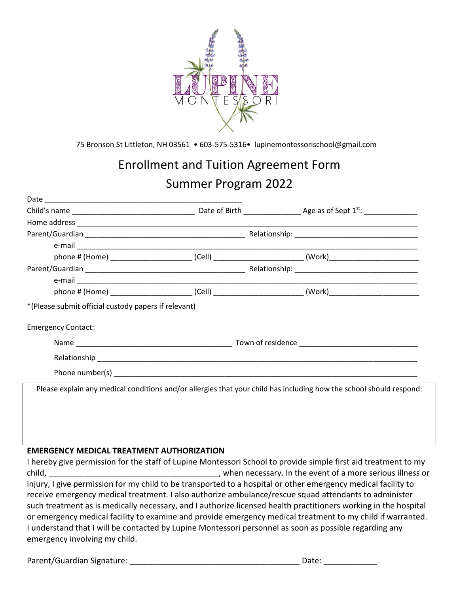

75 Bronson St Littleton, NH 03561 • 603-575-5316• lupinemontessorischool@gmail.com

# Enrollment and Tuition Agreement Form Summer Program 2022

|                                                      |  | <u> 1989 - Johann John Stein, mars et al. 1989 - John Stein, mars et al. 1989 - John Stein, mars et al. 1989 - Joh</u> |  |  |  |
|------------------------------------------------------|--|------------------------------------------------------------------------------------------------------------------------|--|--|--|
|                                                      |  | phone # (Home) ____________________________(Cell) ______________________________(Work)________________________         |  |  |  |
|                                                      |  |                                                                                                                        |  |  |  |
|                                                      |  |                                                                                                                        |  |  |  |
|                                                      |  | phone # (Home) _______________________________(Cell) ___________________________(Work)________________________         |  |  |  |
| *(Please submit official custody papers if relevant) |  |                                                                                                                        |  |  |  |
| <b>Emergency Contact:</b>                            |  |                                                                                                                        |  |  |  |
|                                                      |  |                                                                                                                        |  |  |  |
|                                                      |  |                                                                                                                        |  |  |  |
|                                                      |  |                                                                                                                        |  |  |  |
|                                                      |  | Please explain any medical conditions and/or allergies that your child has including how the school should respond:    |  |  |  |
|                                                      |  |                                                                                                                        |  |  |  |
|                                                      |  |                                                                                                                        |  |  |  |
|                                                      |  |                                                                                                                        |  |  |  |
| <b>EMERGENCY MEDICAL TREATMENT AUTHORIZATION</b>     |  |                                                                                                                        |  |  |  |
|                                                      |  | I hereby give permission for the staff of Lupine Montessori School to provide simple first aid treatment to my         |  |  |  |
|                                                      |  |                                                                                                                        |  |  |  |
|                                                      |  | injumu Lajya normission for my abilel to ha transported to a hospital ar athor ameronou modical fosility to            |  |  |  |

injury, I give permission for my child to be transported to a hospital or other emergency medical facility to receive emergency medical treatment. I also authorize ambulance/rescue squad attendants to administer such treatment as is medically necessary, and I authorize licensed health practitioners working in the hospital or emergency medical facility to examine and provide emergency medical treatment to my child if warranted. I understand that I will be contacted by Lupine Montessori personnel as soon as possible regarding any emergency involving my child.

Parent/Guardian Signature: \_\_\_\_\_\_\_\_\_\_\_\_\_\_\_\_\_\_\_\_\_\_\_\_\_\_\_\_\_\_\_\_\_\_\_\_\_\_ Date: \_\_\_\_\_\_\_\_\_\_\_\_